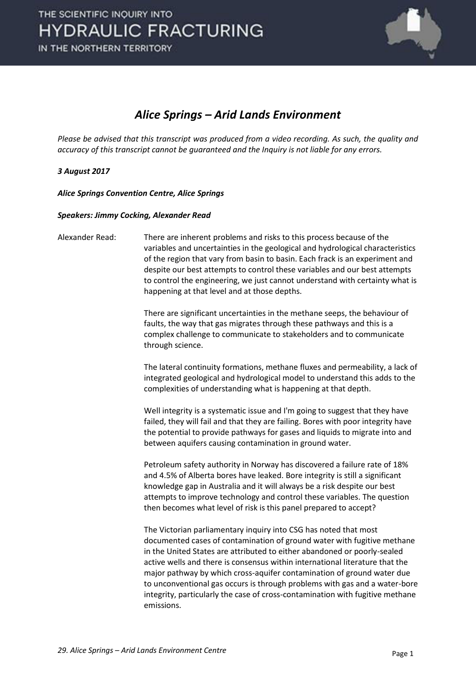

### *Alice Springs – Arid Lands Environment*

*Please be advised that this transcript was produced from a video recording. As such, the quality and accuracy of this transcript cannot be guaranteed and the Inquiry is not liable for any errors.*

#### *3 August 2017*

*Alice Springs Convention Centre, Alice Springs* 

#### *Speakers: Jimmy Cocking, Alexander Read*

Alexander Read: There are inherent problems and risks to this process because of the variables and uncertainties in the geological and hydrological characteristics of the region that vary from basin to basin. Each frack is an experiment and despite our best attempts to control these variables and our best attempts to control the engineering, we just cannot understand with certainty what is happening at that level and at those depths. There are significant uncertainties in the methane seeps, the behaviour of faults, the way that gas migrates through these pathways and this is a complex challenge to communicate to stakeholders and to communicate through science. The lateral continuity formations, methane fluxes and permeability, a lack of integrated geological and hydrological model to understand this adds to the complexities of understanding what is happening at that depth. Well integrity is a systematic issue and I'm going to suggest that they have failed, they will fail and that they are failing. Bores with poor integrity have the potential to provide pathways for gases and liquids to migrate into and between aquifers causing contamination in ground water. Petroleum safety authority in Norway has discovered a failure rate of 18% and 4.5% of Alberta bores have leaked. Bore integrity is still a significant knowledge gap in Australia and it will always be a risk despite our best attempts to improve technology and control these variables. The question then becomes what level of risk is this panel prepared to accept? The Victorian parliamentary inquiry into CSG has noted that most documented cases of contamination of ground water with fugitive methane in the United States are attributed to either abandoned or poorly-sealed active wells and there is consensus within international literature that the major pathway by which cross-aquifer contamination of ground water due to unconventional gas occurs is through problems with gas and a water-bore integrity, particularly the case of cross-contamination with fugitive methane emissions.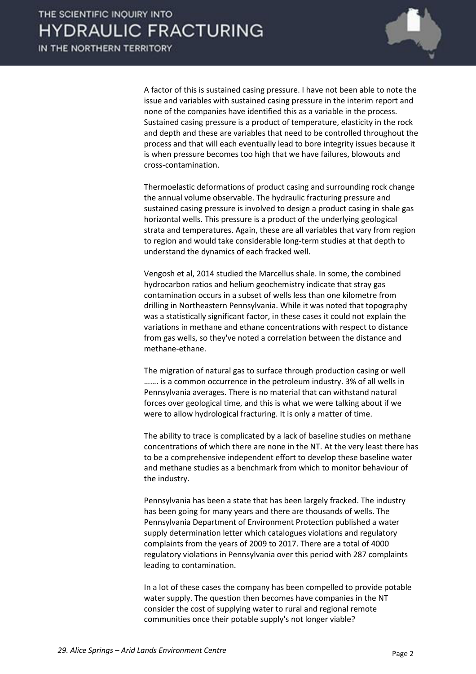

 A factor of this is sustained casing pressure. I have not been able to note the issue and variables with sustained casing pressure in the interim report and none of the companies have identified this as a variable in the process. Sustained casing pressure is a product of temperature, elasticity in the rock and depth and these are variables that need to be controlled throughout the process and that will each eventually lead to bore integrity issues because it is when pressure becomes too high that we have failures, blowouts and cross-contamination.

 Thermoelastic deformations of product casing and surrounding rock change the annual volume observable. The hydraulic fracturing pressure and sustained casing pressure is involved to design a product casing in shale gas horizontal wells. This pressure is a product of the underlying geological strata and temperatures. Again, these are all variables that vary from region to region and would take considerable long-term studies at that depth to understand the dynamics of each fracked well.

 Vengosh et al, 2014 studied the Marcellus shale. In some, the combined hydrocarbon ratios and helium geochemistry indicate that stray gas contamination occurs in a subset of wells less than one kilometre from drilling in Northeastern Pennsylvania. While it was noted that topography was a statistically significant factor, in these cases it could not explain the variations in methane and ethane concentrations with respect to distance from gas wells, so they've noted a correlation between the distance and methane-ethane.

 The migration of natural gas to surface through production casing or well ....... is a common occurrence in the petroleum industry. 3% of all wells in Pennsylvania averages. There is no material that can withstand natural forces over geological time, and this is what we were talking about if we were to allow hydrological fracturing. It is only a matter of time.

 The ability to trace is complicated by a lack of baseline studies on methane concentrations of which there are none in the NT. At the very least there has to be a comprehensive independent effort to develop these baseline water and methane studies as a benchmark from which to monitor behaviour of the industry.

 Pennsylvania has been a state that has been largely fracked. The industry has been going for many years and there are thousands of wells. The Pennsylvania Department of Environment Protection published a water supply determination letter which catalogues violations and regulatory complaints from the years of 2009 to 2017. There are a total of 4000 regulatory violations in Pennsylvania over this period with 287 complaints leading to contamination.

 In a lot of these cases the company has been compelled to provide potable water supply. The question then becomes have companies in the NT consider the cost of supplying water to rural and regional remote communities once their potable supply's not longer viable?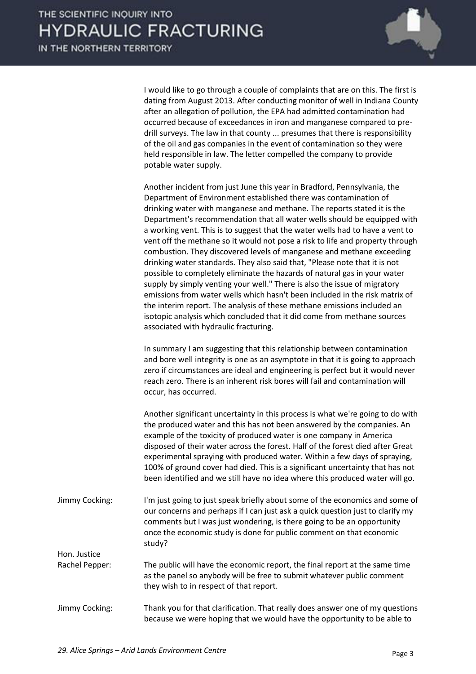

 I would like to go through a couple of complaints that are on this. The first is dating from August 2013. After conducting monitor of well in Indiana County after an allegation of pollution, the EPA had admitted contamination had occurred because of exceedances in iron and manganese compared to predrill surveys. The law in that county ... presumes that there is responsibility of the oil and gas companies in the event of contamination so they were held responsible in law. The letter compelled the company to provide potable water supply.

 Another incident from just June this year in Bradford, Pennsylvania, the Department of Environment established there was contamination of drinking water with manganese and methane. The reports stated it is the Department's recommendation that all water wells should be equipped with a working vent. This is to suggest that the water wells had to have a vent to vent off the methane so it would not pose a risk to life and property through combustion. They discovered levels of manganese and methane exceeding drinking water standards. They also said that, "Please note that it is not possible to completely eliminate the hazards of natural gas in your water supply by simply venting your well." There is also the issue of migratory emissions from water wells which hasn't been included in the risk matrix of the interim report. The analysis of these methane emissions included an isotopic analysis which concluded that it did come from methane sources associated with hydraulic fracturing.

 In summary I am suggesting that this relationship between contamination and bore well integrity is one as an asymptote in that it is going to approach zero if circumstances are ideal and engineering is perfect but it would never reach zero. There is an inherent risk bores will fail and contamination will occur, has occurred.

 Another significant uncertainty in this process is what we're going to do with the produced water and this has not been answered by the companies. An example of the toxicity of produced water is one company in America disposed of their water across the forest. Half of the forest died after Great experimental spraying with produced water. Within a few days of spraying, 100% of ground cover had died. This is a significant uncertainty that has not been identified and we still have no idea where this produced water will go.

- Jimmy Cocking: I'm just going to just speak briefly about some of the economics and some of our concerns and perhaps if I can just ask a quick question just to clarify my comments but I was just wondering, is there going to be an opportunity once the economic study is done for public comment on that economic study? Hon. Justice Rachel Pepper: The public will have the economic report, the final report at the same time as the panel so anybody will be free to submit whatever public comment they wish to in respect of that report.
- Jimmy Cocking: Thank you for that clarification. That really does answer one of my questions because we were hoping that we would have the opportunity to be able to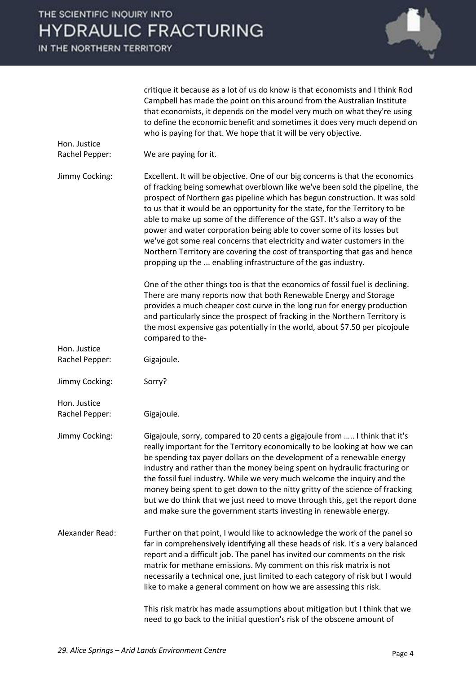|                                | critique it because as a lot of us do know is that economists and I think Rod<br>Campbell has made the point on this around from the Australian Institute<br>that economists, it depends on the model very much on what they're using<br>to define the economic benefit and sometimes it does very much depend on<br>who is paying for that. We hope that it will be very objective.                                                                                                                                                                                                                                                                                                                            |
|--------------------------------|-----------------------------------------------------------------------------------------------------------------------------------------------------------------------------------------------------------------------------------------------------------------------------------------------------------------------------------------------------------------------------------------------------------------------------------------------------------------------------------------------------------------------------------------------------------------------------------------------------------------------------------------------------------------------------------------------------------------|
| Hon. Justice<br>Rachel Pepper: | We are paying for it.                                                                                                                                                                                                                                                                                                                                                                                                                                                                                                                                                                                                                                                                                           |
| Jimmy Cocking:                 | Excellent. It will be objective. One of our big concerns is that the economics<br>of fracking being somewhat overblown like we've been sold the pipeline, the<br>prospect of Northern gas pipeline which has begun construction. It was sold<br>to us that it would be an opportunity for the state, for the Territory to be<br>able to make up some of the difference of the GST. It's also a way of the<br>power and water corporation being able to cover some of its losses but<br>we've got some real concerns that electricity and water customers in the<br>Northern Territory are covering the cost of transporting that gas and hence<br>propping up the  enabling infrastructure of the gas industry. |
|                                | One of the other things too is that the economics of fossil fuel is declining.<br>There are many reports now that both Renewable Energy and Storage<br>provides a much cheaper cost curve in the long run for energy production<br>and particularly since the prospect of fracking in the Northern Territory is<br>the most expensive gas potentially in the world, about \$7.50 per picojoule<br>compared to the-                                                                                                                                                                                                                                                                                              |
| Hon. Justice<br>Rachel Pepper: | Gigajoule.                                                                                                                                                                                                                                                                                                                                                                                                                                                                                                                                                                                                                                                                                                      |
| Jimmy Cocking:                 | Sorry?                                                                                                                                                                                                                                                                                                                                                                                                                                                                                                                                                                                                                                                                                                          |
| Hon. Justice<br>Rachel Pepper: | Gigajoule.                                                                                                                                                                                                                                                                                                                                                                                                                                                                                                                                                                                                                                                                                                      |
| Jimmy Cocking:                 | Gigajoule, sorry, compared to 20 cents a gigajoule from  I think that it's<br>really important for the Territory economically to be looking at how we can<br>be spending tax payer dollars on the development of a renewable energy<br>industry and rather than the money being spent on hydraulic fracturing or<br>the fossil fuel industry. While we very much welcome the inquiry and the<br>money being spent to get down to the nitty gritty of the science of fracking<br>but we do think that we just need to move through this, get the report done<br>and make sure the government starts investing in renewable energy.                                                                               |
| Alexander Read:                | Further on that point, I would like to acknowledge the work of the panel so<br>far in comprehensively identifying all these heads of risk. It's a very balanced<br>report and a difficult job. The panel has invited our comments on the risk<br>matrix for methane emissions. My comment on this risk matrix is not<br>necessarily a technical one, just limited to each category of risk but I would<br>like to make a general comment on how we are assessing this risk.                                                                                                                                                                                                                                     |
|                                | This risk matrix has made assumptions about mitigation but I think that we<br>need to go back to the initial question's risk of the obscene amount of                                                                                                                                                                                                                                                                                                                                                                                                                                                                                                                                                           |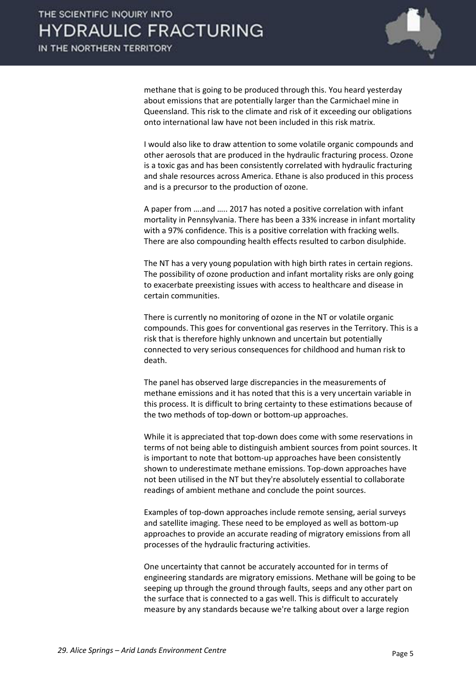

methane that is going to be produced through this. You heard yesterday about emissions that are potentially larger than the Carmichael mine in Queensland. This risk to the climate and risk of it exceeding our obligations onto international law have not been included in this risk matrix.

 I would also like to draw attention to some volatile organic compounds and other aerosols that are produced in the hydraulic fracturing process. Ozone is a toxic gas and has been consistently correlated with hydraulic fracturing and shale resources across America. Ethane is also produced in this process and is a precursor to the production of ozone.

A paper from ….and ….. 2017 has noted a positive correlation with infant mortality in Pennsylvania. There has been a 33% increase in infant mortality with a 97% confidence. This is a positive correlation with fracking wells. There are also compounding health effects resulted to carbon disulphide.

 The NT has a very young population with high birth rates in certain regions. The possibility of ozone production and infant mortality risks are only going to exacerbate preexisting issues with access to healthcare and disease in certain communities.

 There is currently no monitoring of ozone in the NT or volatile organic compounds. This goes for conventional gas reserves in the Territory. This is a risk that is therefore highly unknown and uncertain but potentially connected to very serious consequences for childhood and human risk to death.

 The panel has observed large discrepancies in the measurements of methane emissions and it has noted that this is a very uncertain variable in this process. It is difficult to bring certainty to these estimations because of the two methods of top-down or bottom-up approaches.

 While it is appreciated that top-down does come with some reservations in terms of not being able to distinguish ambient sources from point sources. It is important to note that bottom-up approaches have been consistently shown to underestimate methane emissions. Top-down approaches have not been utilised in the NT but they're absolutely essential to collaborate readings of ambient methane and conclude the point sources.

 Examples of top-down approaches include remote sensing, aerial surveys and satellite imaging. These need to be employed as well as bottom-up approaches to provide an accurate reading of migratory emissions from all processes of the hydraulic fracturing activities.

 One uncertainty that cannot be accurately accounted for in terms of engineering standards are migratory emissions. Methane will be going to be seeping up through the ground through faults, seeps and any other part on the surface that is connected to a gas well. This is difficult to accurately measure by any standards because we're talking about over a large region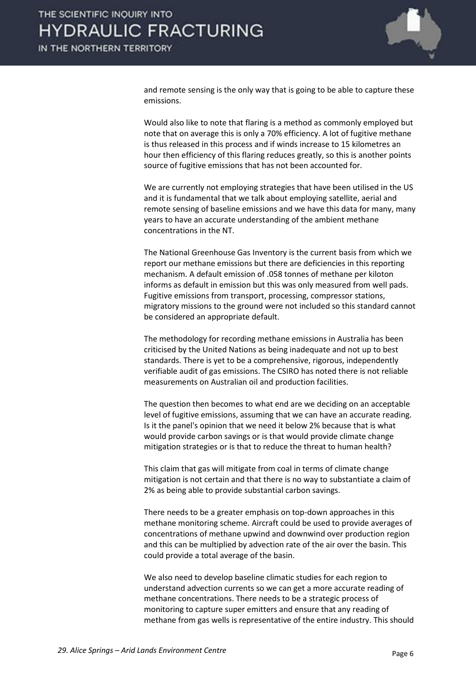

and remote sensing is the only way that is going to be able to capture these emissions.

 Would also like to note that flaring is a method as commonly employed but note that on average this is only a 70% efficiency. A lot of fugitive methane is thus released in this process and if winds increase to 15 kilometres an hour then efficiency of this flaring reduces greatly, so this is another points source of fugitive emissions that has not been accounted for.

 We are currently not employing strategies that have been utilised in the US and it is fundamental that we talk about employing satellite, aerial and remote sensing of baseline emissions and we have this data for many, many years to have an accurate understanding of the ambient methane concentrations in the NT.

 The National Greenhouse Gas Inventory is the current basis from which we report our methane emissions but there are deficiencies in this reporting mechanism. A default emission of .058 tonnes of methane per kiloton informs as default in emission but this was only measured from well pads. Fugitive emissions from transport, processing, compressor stations, migratory missions to the ground were not included so this standard cannot be considered an appropriate default.

 The methodology for recording methane emissions in Australia has been criticised by the United Nations as being inadequate and not up to best standards. There is yet to be a comprehensive, rigorous, independently verifiable audit of gas emissions. The CSIRO has noted there is not reliable measurements on Australian oil and production facilities.

 The question then becomes to what end are we deciding on an acceptable level of fugitive emissions, assuming that we can have an accurate reading. Is it the panel's opinion that we need it below 2% because that is what would provide carbon savings or is that would provide climate change mitigation strategies or is that to reduce the threat to human health?

 This claim that gas will mitigate from coal in terms of climate change mitigation is not certain and that there is no way to substantiate a claim of 2% as being able to provide substantial carbon savings.

 There needs to be a greater emphasis on top-down approaches in this methane monitoring scheme. Aircraft could be used to provide averages of concentrations of methane upwind and downwind over production region and this can be multiplied by advection rate of the air over the basin. This could provide a total average of the basin.

 We also need to develop baseline climatic studies for each region to understand advection currents so we can get a more accurate reading of methane concentrations. There needs to be a strategic process of monitoring to capture super emitters and ensure that any reading of methane from gas wells is representative of the entire industry. This should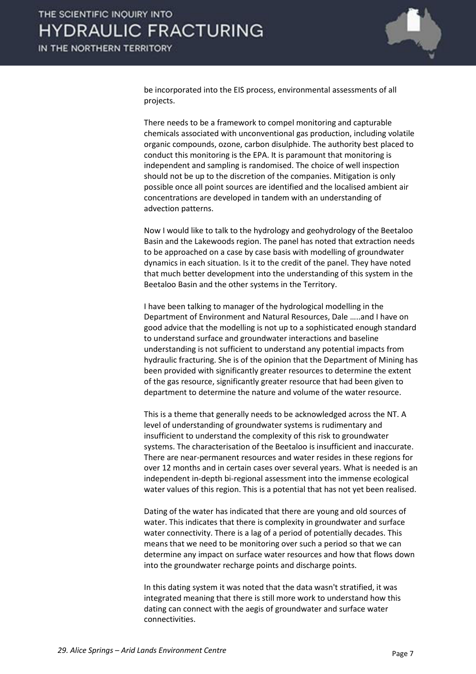

be incorporated into the EIS process, environmental assessments of all projects.

 There needs to be a framework to compel monitoring and capturable chemicals associated with unconventional gas production, including volatile organic compounds, ozone, carbon disulphide. The authority best placed to conduct this monitoring is the EPA. It is paramount that monitoring is independent and sampling is randomised. The choice of well inspection should not be up to the discretion of the companies. Mitigation is only possible once all point sources are identified and the localised ambient air concentrations are developed in tandem with an understanding of advection patterns.

 Now I would like to talk to the hydrology and geohydrology of the Beetaloo Basin and the Lakewoods region. The panel has noted that extraction needs to be approached on a case by case basis with modelling of groundwater dynamics in each situation. Is it to the credit of the panel. They have noted that much better development into the understanding of this system in the Beetaloo Basin and the other systems in the Territory.

 I have been talking to manager of the hydrological modelling in the Department of Environment and Natural Resources, Dale .....and I have on good advice that the modelling is not up to a sophisticated enough standard to understand surface and groundwater interactions and baseline understanding is not sufficient to understand any potential impacts from hydraulic fracturing. She is of the opinion that the Department of Mining has been provided with significantly greater resources to determine the extent of the gas resource, significantly greater resource that had been given to department to determine the nature and volume of the water resource.

 This is a theme that generally needs to be acknowledged across the NT. A level of understanding of groundwater systems is rudimentary and insufficient to understand the complexity of this risk to groundwater systems. The characterisation of the Beetaloo is insufficient and inaccurate. There are near-permanent resources and water resides in these regions for over 12 months and in certain cases over several years. What is needed is an independent in-depth bi-regional assessment into the immense ecological water values of this region. This is a potential that has not yet been realised.

 Dating of the water has indicated that there are young and old sources of water. This indicates that there is complexity in groundwater and surface water connectivity. There is a lag of a period of potentially decades. This means that we need to be monitoring over such a period so that we can determine any impact on surface water resources and how that flows down into the groundwater recharge points and discharge points.

 In this dating system it was noted that the data wasn't stratified, it was integrated meaning that there is still more work to understand how this dating can connect with the aegis of groundwater and surface water connectivities.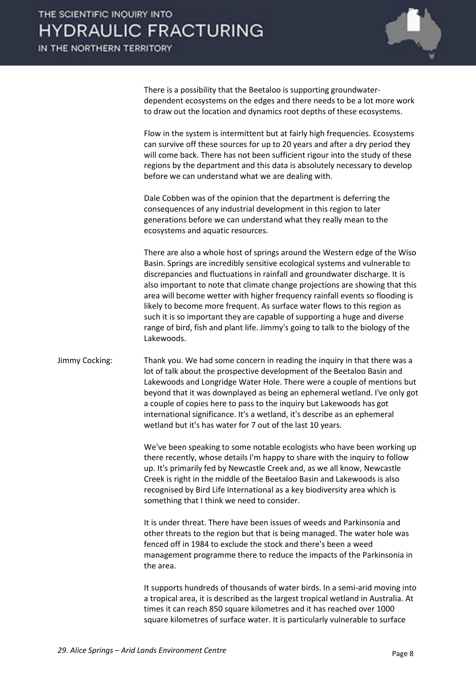

 There is a possibility that the Beetaloo is supporting groundwaterdependent ecosystems on the edges and there needs to be a lot more work to draw out the location and dynamics root depths of these ecosystems.

 Flow in the system is intermittent but at fairly high frequencies. Ecosystems can survive off these sources for up to 20 years and after a dry period they will come back. There has not been sufficient rigour into the study of these regions by the department and this data is absolutely necessary to develop before we can understand what we are dealing with.

 Dale Cobben was of the opinion that the department is deferring the consequences of any industrial development in this region to later generations before we can understand what they really mean to the ecosystems and aquatic resources.

 There are also a whole host of springs around the Western edge of the Wiso Basin. Springs are incredibly sensitive ecological systems and vulnerable to discrepancies and fluctuations in rainfall and groundwater discharge. It is also important to note that climate change projections are showing that this area will become wetter with higher frequency rainfall events so flooding is likely to become more frequent. As surface water flows to this region as such it is so important they are capable of supporting a huge and diverse range of bird, fish and plant life. Jimmy's going to talk to the biology of the Lakewoods.

Jimmy Cocking: Thank you. We had some concern in reading the inquiry in that there was a lot of talk about the prospective development of the Beetaloo Basin and Lakewoods and Longridge Water Hole. There were a couple of mentions but beyond that it was downplayed as being an ephemeral wetland. I've only got a couple of copies here to pass to the inquiry but Lakewoods has got international significance. It's a wetland, it's describe as an ephemeral wetland but it's has water for 7 out of the last 10 years.

> We've been speaking to some notable ecologists who have been working up there recently, whose details I'm happy to share with the inquiry to follow up. It's primarily fed by Newcastle Creek and, as we all know, Newcastle Creek is right in the middle of the Beetaloo Basin and Lakewoods is also recognised by Bird Life International as a key biodiversity area which is something that I think we need to consider.

 It is under threat. There have been issues of weeds and Parkinsonia and other threats to the region but that is being managed. The water hole was fenced off in 1984 to exclude the stock and there's been a weed management programme there to reduce the impacts of the Parkinsonia in the area.

 It supports hundreds of thousands of water birds. In a semi-arid moving into a tropical area, it is described as the largest tropical wetland in Australia. At times it can reach 850 square kilometres and it has reached over 1000 square kilometres of surface water. It is particularly vulnerable to surface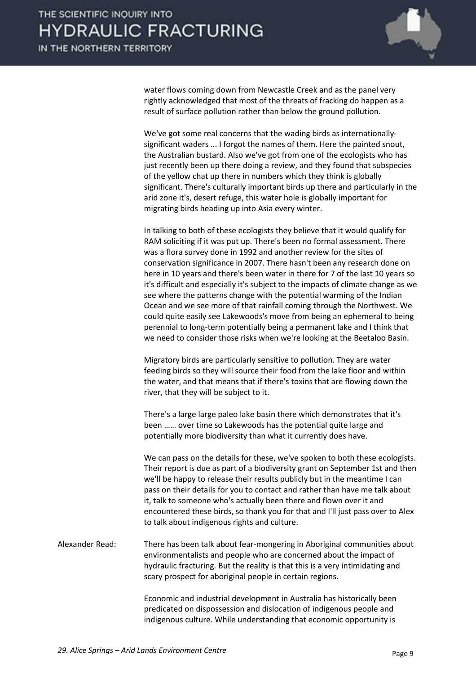

water flows coming down from Newcastle Creek and as the panel very rightly acknowledged that most of the threats of fracking do happen as a result of surface pollution rather than below the ground pollution.

 We've got some real concerns that the wading birds as internationallysignificant waders ... I forgot the names of them. Here the painted snout, the Australian bustard. Also we've got from one of the ecologists who has just recently been up there doing a review, and they found that subspecies of the yellow chat up there in numbers which they think is globally significant. There's culturally important birds up there and particularly in the arid zone it's, desert refuge, this water hole is globally important for migrating birds heading up into Asia every winter.

 In talking to both of these ecologists they believe that it would qualify for RAM soliciting if it was put up. There's been no formal assessment. There was a flora survey done in 1992 and another review for the sites of conservation significance in 2007. There hasn't been any research done on here in 10 years and there's been water in there for 7 of the last 10 years so it's difficult and especially it's subject to the impacts of climate change as we see where the patterns change with the potential warming of the Indian Ocean and we see more of that rainfall coming through the Northwest. We could quite easily see Lakewoods's move from being an ephemeral to being perennial to long-term potentially being a permanent lake and I think that we need to consider those risks when we're looking at the Beetaloo Basin.

 Migratory birds are particularly sensitive to pollution. They are water feeding birds so they will source their food from the lake floor and within the water, and that means that if there's toxins that are flowing down the river, that they will be subject to it.

 There's a large large paleo lake basin there which demonstrates that it's been ...... over time so Lakewoods has the potential quite large and potentially more biodiversity than what it currently does have.

 We can pass on the details for these, we've spoken to both these ecologists. Their report is due as part of a biodiversity grant on September 1st and then we'll be happy to release their results publicly but in the meantime I can pass on their details for you to contact and rather than have me talk about it, talk to someone who's actually been there and flown over it and encountered these birds, so thank you for that and I'll just pass over to Alex to talk about indigenous rights and culture.

Alexander Read: There has been talk about fear-mongering in Aboriginal communities about environmentalists and people who are concerned about the impact of hydraulic fracturing. But the reality is that this is a very intimidating and scary prospect for aboriginal people in certain regions.

> Economic and industrial development in Australia has historically been predicated on dispossession and dislocation of indigenous people and indigenous culture. While understanding that economic opportunity is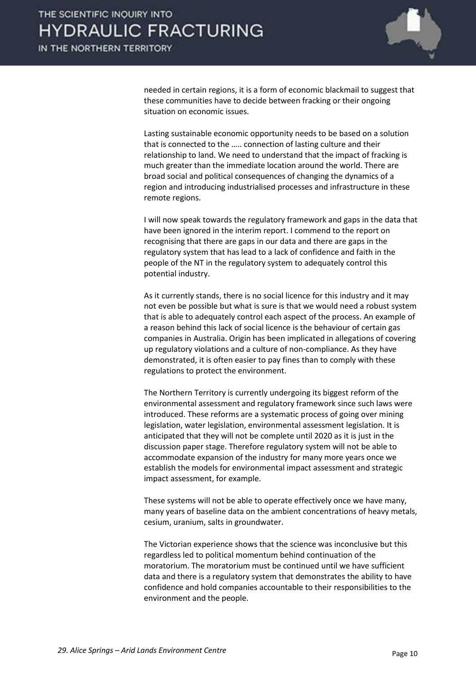

needed in certain regions, it is a form of economic blackmail to suggest that these communities have to decide between fracking or their ongoing situation on economic issues.

 Lasting sustainable economic opportunity needs to be based on a solution that is connected to the ..... connection of lasting culture and their relationship to land. We need to understand that the impact of fracking is much greater than the immediate location around the world. There are broad social and political consequences of changing the dynamics of a region and introducing industrialised processes and infrastructure in these remote regions.

 I will now speak towards the regulatory framework and gaps in the data that have been ignored in the interim report. I commend to the report on recognising that there are gaps in our data and there are gaps in the regulatory system that has lead to a lack of confidence and faith in the people of the NT in the regulatory system to adequately control this potential industry.

 As it currently stands, there is no social licence for this industry and it may not even be possible but what is sure is that we would need a robust system that is able to adequately control each aspect of the process. An example of a reason behind this lack of social licence is the behaviour of certain gas companies in Australia. Origin has been implicated in allegations of covering up regulatory violations and a culture of non-compliance. As they have demonstrated, it is often easier to pay fines than to comply with these regulations to protect the environment.

 The Northern Territory is currently undergoing its biggest reform of the environmental assessment and regulatory framework since such laws were introduced. These reforms are a systematic process of going over mining legislation, water legislation, environmental assessment legislation. It is anticipated that they will not be complete until 2020 as it is just in the discussion paper stage. Therefore regulatory system will not be able to accommodate expansion of the industry for many more years once we establish the models for environmental impact assessment and strategic impact assessment, for example.

 These systems will not be able to operate effectively once we have many, many years of baseline data on the ambient concentrations of heavy metals, cesium, uranium, salts in groundwater.

 The Victorian experience shows that the science was inconclusive but this regardless led to political momentum behind continuation of the moratorium. The moratorium must be continued until we have sufficient data and there is a regulatory system that demonstrates the ability to have confidence and hold companies accountable to their responsibilities to the environment and the people.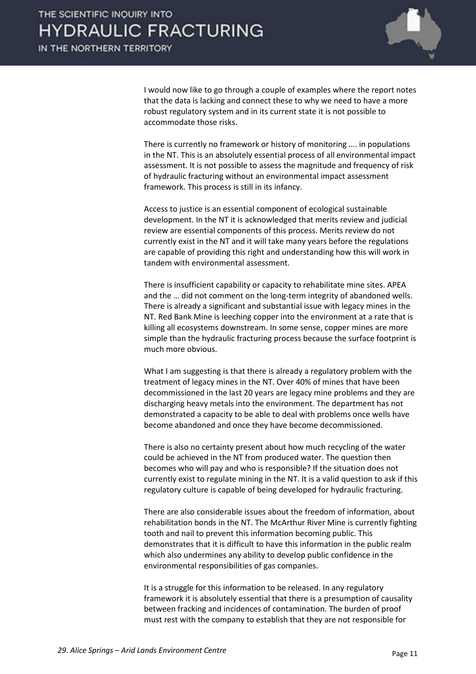

 I would now like to go through a couple of examples where the report notes that the data is lacking and connect these to why we need to have a more robust regulatory system and in its current state it is not possible to accommodate those risks.

There is currently no framework or history of monitoring .... in populations in the NT. This is an absolutely essential process of all environmental impact assessment. It is not possible to assess the magnitude and frequency of risk of hydraulic fracturing without an environmental impact assessment framework. This process is still in its infancy.

 Access to justice is an essential component of ecological sustainable development. In the NT it is acknowledged that merits review and judicial review are essential components of this process. Merits review do not currently exist in the NT and it will take many years before the regulations are capable of providing this right and understanding how this will work in tandem with environmental assessment.

 There is insufficient capability or capacity to rehabilitate mine sites. APEA and the ... did not comment on the long-term integrity of abandoned wells. There is already a significant and substantial issue with legacy mines in the NT. Red Bank Mine is leeching copper into the environment at a rate that is killing all ecosystems downstream. In some sense, copper mines are more simple than the hydraulic fracturing process because the surface footprint is much more obvious.

 What I am suggesting is that there is already a regulatory problem with the treatment of legacy mines in the NT. Over 40% of mines that have been decommissioned in the last 20 years are legacy mine problems and they are discharging heavy metals into the environment. The department has not demonstrated a capacity to be able to deal with problems once wells have become abandoned and once they have become decommissioned.

 There is also no certainty present about how much recycling of the water could be achieved in the NT from produced water. The question then becomes who will pay and who is responsible? If the situation does not currently exist to regulate mining in the NT. It is a valid question to ask if this regulatory culture is capable of being developed for hydraulic fracturing.

 There are also considerable issues about the freedom of information, about rehabilitation bonds in the NT. The McArthur River Mine is currently fighting tooth and nail to prevent this information becoming public. This demonstrates that it is difficult to have this information in the public realm which also undermines any ability to develop public confidence in the environmental responsibilities of gas companies.

 It is a struggle for this information to be released. In any regulatory framework it is absolutely essential that there is a presumption of causality between fracking and incidences of contamination. The burden of proof must rest with the company to establish that they are not responsible for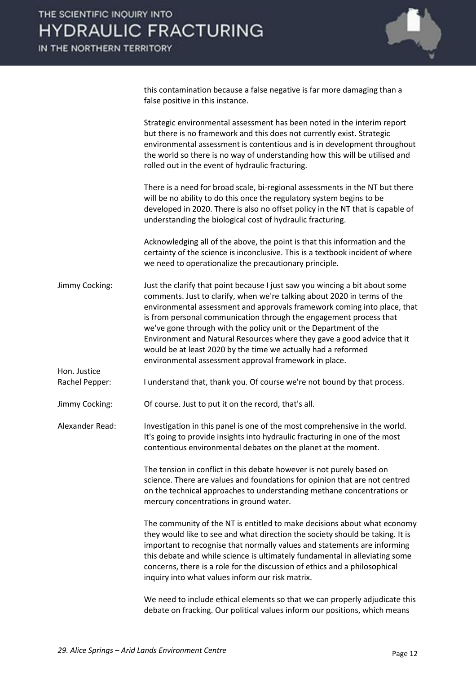

this contamination because a false negative is far more damaging than a false positive in this instance.

 Strategic environmental assessment has been noted in the interim report but there is no framework and this does not currently exist. Strategic environmental assessment is contentious and is in development throughout the world so there is no way of understanding how this will be utilised and rolled out in the event of hydraulic fracturing.

 There is a need for broad scale, bi-regional assessments in the NT but there will be no ability to do this once the regulatory system begins to be developed in 2020. There is also no offset policy in the NT that is capable of understanding the biological cost of hydraulic fracturing.

 Acknowledging all of the above, the point is that this information and the certainty of the science is inconclusive. This is a textbook incident of where we need to operationalize the precautionary principle.

- Jimmy Cocking: Just the clarify that point because I just saw you wincing a bit about some comments. Just to clarify, when we're talking about 2020 in terms of the environmental assessment and approvals framework coming into place, that is from personal communication through the engagement process that we've gone through with the policy unit or the Department of the Environment and Natural Resources where they gave a good advice that it would be at least 2020 by the time we actually had a reformed environmental assessment approval framework in place.
- Rachel Pepper: I understand that, thank you. Of course we're not bound by that process.

Jimmy Cocking: Of course. Just to put it on the record, that's all.

Hon. Justice

Alexander Read: Investigation in this panel is one of the most comprehensive in the world. It's going to provide insights into hydraulic fracturing in one of the most contentious environmental debates on the planet at the moment.

> The tension in conflict in this debate however is not purely based on science. There are values and foundations for opinion that are not centred on the technical approaches to understanding methane concentrations or mercury concentrations in ground water.

 The community of the NT is entitled to make decisions about what economy they would like to see and what direction the society should be taking. It is important to recognise that normally values and statements are informing this debate and while science is ultimately fundamental in alleviating some concerns, there is a role for the discussion of ethics and a philosophical inquiry into what values inform our risk matrix.

 We need to include ethical elements so that we can properly adjudicate this debate on fracking. Our political values inform our positions, which means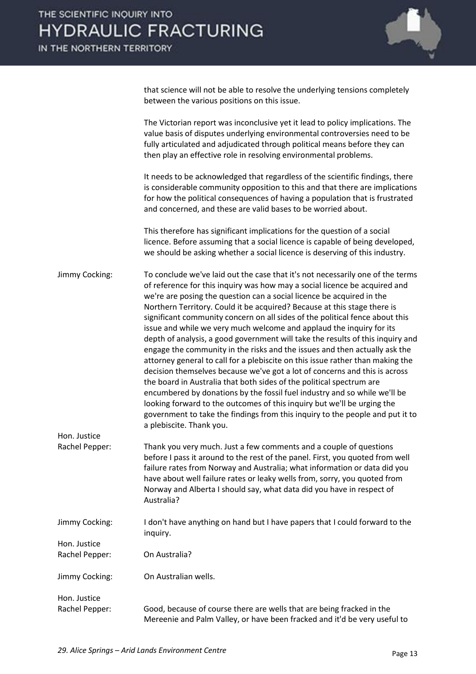

that science will not be able to resolve the underlying tensions completely between the various positions on this issue.

 The Victorian report was inconclusive yet it lead to policy implications. The value basis of disputes underlying environmental controversies need to be fully articulated and adjudicated through political means before they can then play an effective role in resolving environmental problems.

 It needs to be acknowledged that regardless of the scientific findings, there is considerable community opposition to this and that there are implications for how the political consequences of having a population that is frustrated and concerned, and these are valid bases to be worried about.

 This therefore has significant implications for the question of a social licence. Before assuming that a social licence is capable of being developed, we should be asking whether a social licence is deserving of this industry.

Jimmy Cocking: To conclude we've laid out the case that it's not necessarily one of the terms of reference for this inquiry was how may a social licence be acquired and we're are posing the question can a social licence be acquired in the Northern Territory. Could it be acquired? Because at this stage there is significant community concern on all sides of the political fence about this issue and while we very much welcome and applaud the inquiry for its depth of analysis, a good government will take the results of this inquiry and engage the community in the risks and the issues and then actually ask the attorney general to call for a plebiscite on this issue rather than making the decision themselves because we've got a lot of concerns and this is across the board in Australia that both sides of the political spectrum are encumbered by donations by the fossil fuel industry and so while we'll be looking forward to the outcomes of this inquiry but we'll be urging the government to take the findings from this inquiry to the people and put it to a plebiscite. Thank you. Hon. Justice

Rachel Pepper: Thank you very much. Just a few comments and a couple of questions before I pass it around to the rest of the panel. First, you quoted from well failure rates from Norway and Australia; what information or data did you have about well failure rates or leaky wells from, sorry, you quoted from Norway and Alberta I should say, what data did you have in respect of Australia?

Jimmy Cocking: I don't have anything on hand but I have papers that I could forward to the inquiry. Hon. Justice

Rachel Pepper: On Australia?

- Jimmy Cocking: On Australian wells.
- Hon. Justice Rachel Pepper: Good, because of course there are wells that are being fracked in the Mereenie and Palm Valley, or have been fracked and it'd be very useful to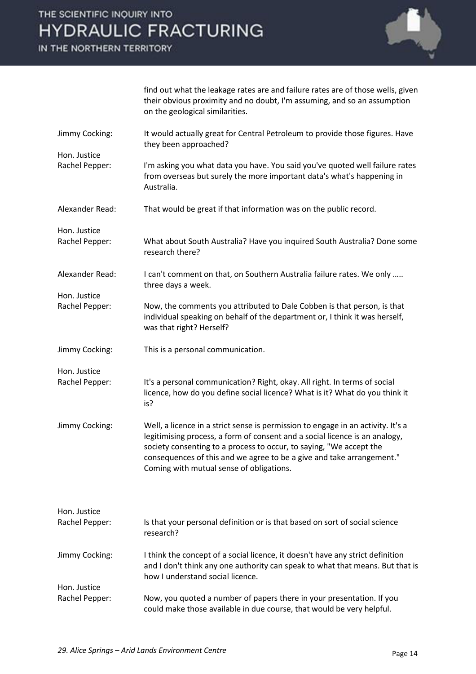IN THE NORTHERN TERRITORY

Hon. Justice



find out what the leakage rates are and failure rates are of those wells, given their obvious proximity and no doubt, I'm assuming, and so an assumption on the geological similarities.

- Jimmy Cocking: It would actually great for Central Petroleum to provide those figures. Have they been approached?
- Rachel Pepper: I'm asking you what data you have. You said you've quoted well failure rates from overseas but surely the more important data's what's happening in Australia.
- Alexander Read: That would be great if that information was on the public record.
- Hon. Justice Rachel Pepper: What about South Australia? Have you inquired South Australia? Done some research there?
- Alexander Read: I can't comment on that, on Southern Australia failure rates. We only ….. three days a week.
- Rachel Pepper: Now, the comments you attributed to Dale Cobben is that person, is that individual speaking on behalf of the department or, I think it was herself, was that right? Herself?
- Jimmy Cocking: This is a personal communication.

Hon. Justice

Hon. Justice

- Rachel Pepper: It's a personal communication? Right, okay. All right. In terms of social licence, how do you define social licence? What is it? What do you think it is?
- Jimmy Cocking: Well, a licence in a strict sense is permission to engage in an activity. It's a legitimising process, a form of consent and a social licence is an analogy, society consenting to a process to occur, to saying, "We accept the consequences of this and we agree to be a give and take arrangement." Coming with mutual sense of obligations.

| Hon. Justice<br>Rachel Pepper: | Is that your personal definition or is that based on sort of social science                                                                                                                         |
|--------------------------------|-----------------------------------------------------------------------------------------------------------------------------------------------------------------------------------------------------|
|                                | research?                                                                                                                                                                                           |
| Jimmy Cocking:                 | I think the concept of a social licence, it doesn't have any strict definition<br>and I don't think any one authority can speak to what that means. But that is<br>how I understand social licence. |
| Hon. Justice                   |                                                                                                                                                                                                     |
| Rachel Pepper:                 | Now, you quoted a number of papers there in your presentation. If you<br>could make those available in due course, that would be very helpful.                                                      |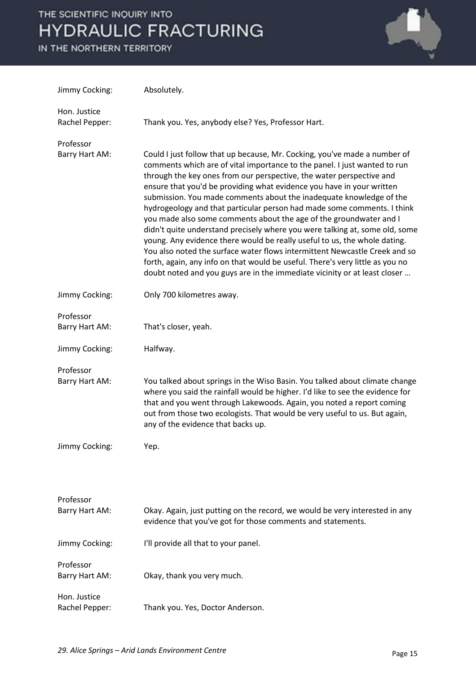

| Jimmy Cocking:                 | Absolutely.                                                                                                                                                                                                                                                                                                                                                                                                                                                                                                                                                                                                                                                                                                                                                                                                                                                                                                                             |
|--------------------------------|-----------------------------------------------------------------------------------------------------------------------------------------------------------------------------------------------------------------------------------------------------------------------------------------------------------------------------------------------------------------------------------------------------------------------------------------------------------------------------------------------------------------------------------------------------------------------------------------------------------------------------------------------------------------------------------------------------------------------------------------------------------------------------------------------------------------------------------------------------------------------------------------------------------------------------------------|
| Hon. Justice<br>Rachel Pepper: | Thank you. Yes, anybody else? Yes, Professor Hart.                                                                                                                                                                                                                                                                                                                                                                                                                                                                                                                                                                                                                                                                                                                                                                                                                                                                                      |
| Professor<br>Barry Hart AM:    | Could I just follow that up because, Mr. Cocking, you've made a number of<br>comments which are of vital importance to the panel. I just wanted to run<br>through the key ones from our perspective, the water perspective and<br>ensure that you'd be providing what evidence you have in your written<br>submission. You made comments about the inadequate knowledge of the<br>hydrogeology and that particular person had made some comments. I think<br>you made also some comments about the age of the groundwater and I<br>didn't quite understand precisely where you were talking at, some old, some<br>young. Any evidence there would be really useful to us, the whole dating.<br>You also noted the surface water flows intermittent Newcastle Creek and so<br>forth, again, any info on that would be useful. There's very little as you no<br>doubt noted and you guys are in the immediate vicinity or at least closer |
| Jimmy Cocking:                 | Only 700 kilometres away.                                                                                                                                                                                                                                                                                                                                                                                                                                                                                                                                                                                                                                                                                                                                                                                                                                                                                                               |
| Professor<br>Barry Hart AM:    | That's closer, yeah.                                                                                                                                                                                                                                                                                                                                                                                                                                                                                                                                                                                                                                                                                                                                                                                                                                                                                                                    |
| Jimmy Cocking:                 | Halfway.                                                                                                                                                                                                                                                                                                                                                                                                                                                                                                                                                                                                                                                                                                                                                                                                                                                                                                                                |
| Professor                      |                                                                                                                                                                                                                                                                                                                                                                                                                                                                                                                                                                                                                                                                                                                                                                                                                                                                                                                                         |
| Barry Hart AM:                 | You talked about springs in the Wiso Basin. You talked about climate change<br>where you said the rainfall would be higher. I'd like to see the evidence for<br>that and you went through Lakewoods. Again, you noted a report coming<br>out from those two ecologists. That would be very useful to us. But again,<br>any of the evidence that backs up.                                                                                                                                                                                                                                                                                                                                                                                                                                                                                                                                                                               |
| Jimmy Cocking:                 | Yep.                                                                                                                                                                                                                                                                                                                                                                                                                                                                                                                                                                                                                                                                                                                                                                                                                                                                                                                                    |
| Professor<br>Barry Hart AM:    | Okay. Again, just putting on the record, we would be very interested in any<br>evidence that you've got for those comments and statements.                                                                                                                                                                                                                                                                                                                                                                                                                                                                                                                                                                                                                                                                                                                                                                                              |
| Jimmy Cocking:                 | I'll provide all that to your panel.                                                                                                                                                                                                                                                                                                                                                                                                                                                                                                                                                                                                                                                                                                                                                                                                                                                                                                    |
| Professor<br>Barry Hart AM:    | Okay, thank you very much.                                                                                                                                                                                                                                                                                                                                                                                                                                                                                                                                                                                                                                                                                                                                                                                                                                                                                                              |
| Hon. Justice<br>Rachel Pepper: | Thank you. Yes, Doctor Anderson.                                                                                                                                                                                                                                                                                                                                                                                                                                                                                                                                                                                                                                                                                                                                                                                                                                                                                                        |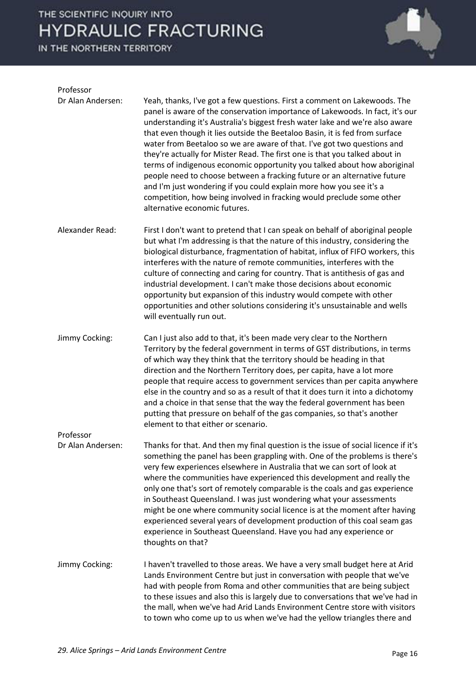

| Professor                      |                                                                                                                                                                                                                                                                                                                                                                                                                                                                                                                                                                                                                                                                                                                                                                                                                              |
|--------------------------------|------------------------------------------------------------------------------------------------------------------------------------------------------------------------------------------------------------------------------------------------------------------------------------------------------------------------------------------------------------------------------------------------------------------------------------------------------------------------------------------------------------------------------------------------------------------------------------------------------------------------------------------------------------------------------------------------------------------------------------------------------------------------------------------------------------------------------|
| Dr Alan Andersen:              | Yeah, thanks, I've got a few questions. First a comment on Lakewoods. The<br>panel is aware of the conservation importance of Lakewoods. In fact, it's our<br>understanding it's Australia's biggest fresh water lake and we're also aware<br>that even though it lies outside the Beetaloo Basin, it is fed from surface<br>water from Beetaloo so we are aware of that. I've got two questions and<br>they're actually for Mister Read. The first one is that you talked about in<br>terms of indigenous economic opportunity you talked about how aboriginal<br>people need to choose between a fracking future or an alternative future<br>and I'm just wondering if you could explain more how you see it's a<br>competition, how being involved in fracking would preclude some other<br>alternative economic futures. |
| Alexander Read:                | First I don't want to pretend that I can speak on behalf of aboriginal people<br>but what I'm addressing is that the nature of this industry, considering the<br>biological disturbance, fragmentation of habitat, influx of FIFO workers, this<br>interferes with the nature of remote communities, interferes with the<br>culture of connecting and caring for country. That is antithesis of gas and<br>industrial development. I can't make those decisions about economic<br>opportunity but expansion of this industry would compete with other<br>opportunities and other solutions considering it's unsustainable and wells<br>will eventually run out.                                                                                                                                                              |
| Jimmy Cocking:                 | Can I just also add to that, it's been made very clear to the Northern<br>Territory by the federal government in terms of GST distributions, in terms<br>of which way they think that the territory should be heading in that<br>direction and the Northern Territory does, per capita, have a lot more<br>people that require access to government services than per capita anywhere<br>else in the country and so as a result of that it does turn it into a dichotomy<br>and a choice in that sense that the way the federal government has been<br>putting that pressure on behalf of the gas companies, so that's another<br>element to that either or scenario.                                                                                                                                                        |
| Professor<br>Dr Alan Andersen: | Thanks for that. And then my final question is the issue of social licence if it's<br>something the panel has been grappling with. One of the problems is there's<br>very few experiences elsewhere in Australia that we can sort of look at<br>where the communities have experienced this development and really the<br>only one that's sort of remotely comparable is the coals and gas experience<br>in Southeast Queensland. I was just wondering what your assessments<br>might be one where community social licence is at the moment after having<br>experienced several years of development production of this coal seam gas<br>experience in Southeast Queensland. Have you had any experience or<br>thoughts on that?                                                                                            |
| Jimmy Cocking:                 | I haven't travelled to those areas. We have a very small budget here at Arid<br>Lands Environment Centre but just in conversation with people that we've<br>had with people from Roma and other communities that are being subject<br>to these issues and also this is largely due to conversations that we've had in<br>the mall, when we've had Arid Lands Environment Centre store with visitors<br>to town who come up to us when we've had the yellow triangles there and                                                                                                                                                                                                                                                                                                                                               |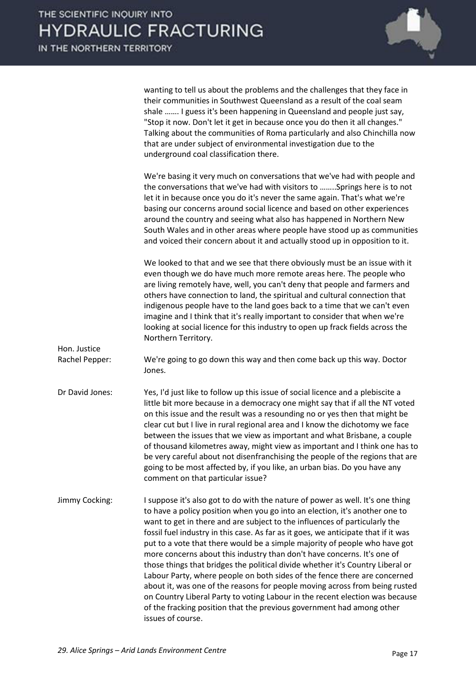|                 | wanting to tell us about the problems and the challenges that they face in<br>their communities in Southwest Queensland as a result of the coal seam<br>shale  I guess it's been happening in Queensland and people just say,<br>"Stop it now. Don't let it get in because once you do then it all changes."<br>Talking about the communities of Roma particularly and also Chinchilla now<br>that are under subject of environmental investigation due to the<br>underground coal classification there.                                                                                                                                                                                                                                                                                                                                                                                                               |
|-----------------|------------------------------------------------------------------------------------------------------------------------------------------------------------------------------------------------------------------------------------------------------------------------------------------------------------------------------------------------------------------------------------------------------------------------------------------------------------------------------------------------------------------------------------------------------------------------------------------------------------------------------------------------------------------------------------------------------------------------------------------------------------------------------------------------------------------------------------------------------------------------------------------------------------------------|
|                 | We're basing it very much on conversations that we've had with people and<br>the conversations that we've had with visitors to  Springs here is to not<br>let it in because once you do it's never the same again. That's what we're<br>basing our concerns around social licence and based on other experiences<br>around the country and seeing what also has happened in Northern New<br>South Wales and in other areas where people have stood up as communities<br>and voiced their concern about it and actually stood up in opposition to it.                                                                                                                                                                                                                                                                                                                                                                   |
| Hon. Justice    | We looked to that and we see that there obviously must be an issue with it<br>even though we do have much more remote areas here. The people who<br>are living remotely have, well, you can't deny that people and farmers and<br>others have connection to land, the spiritual and cultural connection that<br>indigenous people have to the land goes back to a time that we can't even<br>imagine and I think that it's really important to consider that when we're<br>looking at social licence for this industry to open up frack fields across the<br>Northern Territory.                                                                                                                                                                                                                                                                                                                                       |
| Rachel Pepper:  | We're going to go down this way and then come back up this way. Doctor<br>Jones.                                                                                                                                                                                                                                                                                                                                                                                                                                                                                                                                                                                                                                                                                                                                                                                                                                       |
| Dr David Jones: | Yes, I'd just like to follow up this issue of social licence and a plebiscite a<br>little bit more because in a democracy one might say that if all the NT voted<br>on this issue and the result was a resounding no or yes then that might be<br>clear cut but I live in rural regional area and I know the dichotomy we face<br>between the issues that we view as important and what Brisbane, a couple<br>of thousand kilometres away, might view as important and I think one has to<br>be very careful about not disenfranchising the people of the regions that are<br>going to be most affected by, if you like, an urban bias. Do you have any<br>comment on that particular issue?                                                                                                                                                                                                                           |
| Jimmy Cocking:  | I suppose it's also got to do with the nature of power as well. It's one thing<br>to have a policy position when you go into an election, it's another one to<br>want to get in there and are subject to the influences of particularly the<br>fossil fuel industry in this case. As far as it goes, we anticipate that if it was<br>put to a vote that there would be a simple majority of people who have got<br>more concerns about this industry than don't have concerns. It's one of<br>those things that bridges the political divide whether it's Country Liberal or<br>Labour Party, where people on both sides of the fence there are concerned<br>about it, was one of the reasons for people moving across from being rusted<br>on Country Liberal Party to voting Labour in the recent election was because<br>of the fracking position that the previous government had among other<br>issues of course. |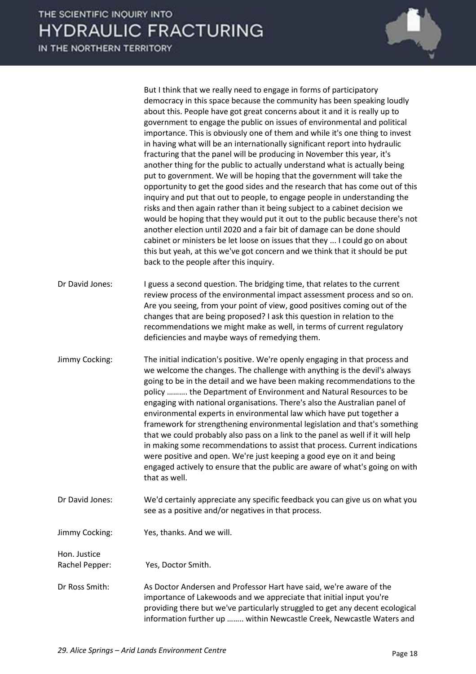IN THE NORTHERN TERRITORY But I think that we really need to engage in forms of participatory democracy in this space because the community has been speaking loudly about this. People have got great concerns about it and it is really up to government to engage the public on issues of environmental and political importance. This is obviously one of them and while it's one thing to invest in having what will be an internationally significant report into hydraulic fracturing that the panel will be producing in November this year, it's another thing for the public to actually understand what is actually being put to government. We will be hoping that the government will take the opportunity to get the good sides and the research that has come out of this inquiry and put that out to people, to engage people in understanding the risks and then again rather than it being subject to a cabinet decision we would be hoping that they would put it out to the public because there's not another election until 2020 and a fair bit of damage can be done should cabinet or ministers be let loose on issues that they ... I could go on about this but yeah, at this we've got concern and we think that it should be put back to the people after this inquiry. Dr David Jones: I guess a second question. The bridging time, that relates to the current review process of the environmental impact assessment process and so on. Are you seeing, from your point of view, good positives coming out of the changes that are being proposed? I ask this question in relation to the recommendations we might make as well, in terms of current regulatory deficiencies and maybe ways of remedying them. Jimmy Cocking: The initial indication's positive. We're openly engaging in that process and we welcome the changes. The challenge with anything is the devil's always going to be in the detail and we have been making recommendations to the policy .......... the Department of Environment and Natural Resources to be engaging with national organisations. There's also the Australian panel of environmental experts in environmental law which have put together a framework for strengthening environmental legislation and that's something that we could probably also pass on a link to the panel as well if it will help in making some recommendations to assist that process. Current indications were positive and open. We're just keeping a good eye on it and being engaged actively to ensure that the public are aware of what's going on with that as well.

- Dr David Jones: We'd certainly appreciate any specific feedback you can give us on what you see as a positive and/or negatives in that process.
- Jimmy Cocking: Yes, thanks. And we will.

Hon. Justice Rachel Pepper: Yes, Doctor Smith.

Dr Ross Smith: As Doctor Andersen and Professor Hart have said, we're aware of the importance of Lakewoods and we appreciate that initial input you're providing there but we've particularly struggled to get any decent ecological information further up …….. within Newcastle Creek, Newcastle Waters and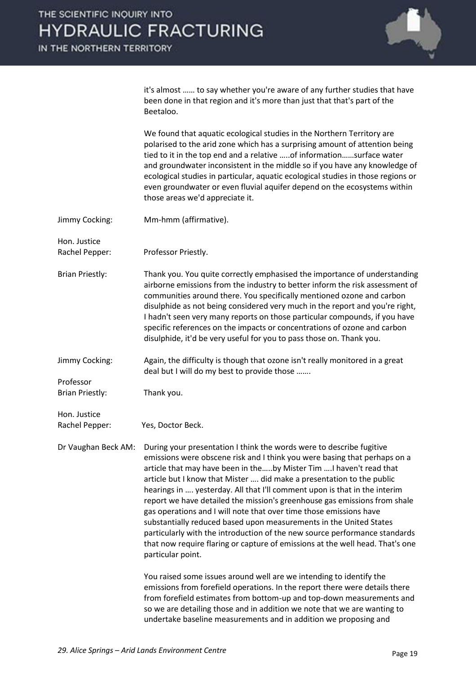IN THE NORTHERN TERRITORY



it's almost ...... to say whether you're aware of any further studies that have been done in that region and it's more than just that that's part of the Beetaloo.

 We found that aquatic ecological studies in the Northern Territory are polarised to the arid zone which has a surprising amount of attention being tied to it in the top end and a relative …..of information……surface water and groundwater inconsistent in the middle so if you have any knowledge of ecological studies in particular, aquatic ecological studies in those regions or even groundwater or even fluvial aquifer depend on the ecosystems within those areas we'd appreciate it.

- Jimmy Cocking: Mm-hmm (affirmative).
- Hon. Justice

Rachel Pepper: Professor Priestly.

- Brian Priestly: Thank you. You quite correctly emphasised the importance of understanding airborne emissions from the industry to better inform the risk assessment of communities around there. You specifically mentioned ozone and carbon disulphide as not being considered very much in the report and you're right, I hadn't seen very many reports on those particular compounds, if you have specific references on the impacts or concentrations of ozone and carbon disulphide, it'd be very useful for you to pass those on. Thank you.
- Jimmy Cocking: Again, the difficulty is though that ozone isn't really monitored in a great deal but I will do my best to provide those .......

Brian Priestly: Thank you.

Hon. Justice

Professor

Rachel Pepper: Yes, Doctor Beck.

Dr Vaughan Beck AM: During your presentation I think the words were to describe fugitive emissions were obscene risk and I think you were basing that perhaps on a article that may have been in the…..by Mister Tim .... I haven't read that article but I know that Mister .... did make a presentation to the public hearings in .... yesterday. All that I'll comment upon is that in the interim report we have detailed the mission's greenhouse gas emissions from shale gas operations and I will note that over time those emissions have substantially reduced based upon measurements in the United States particularly with the introduction of the new source performance standards that now require flaring or capture of emissions at the well head. That's one particular point.

> You raised some issues around well are we intending to identify the emissions from forefield operations. In the report there were details there from forefield estimates from bottom-up and top-down measurements and so we are detailing those and in addition we note that we are wanting to undertake baseline measurements and in addition we proposing and